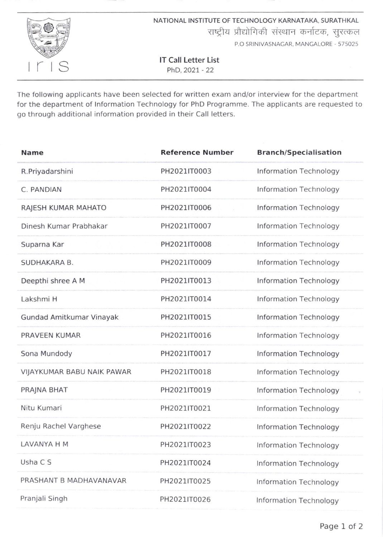

NATIONAL INSTITUTE OF TECHNOLOGY KARNATAKA. SURATHKAL राष्ट्रीय प्रौद्योगिकी संस्थान कर्नाटक, सुरत्कल P.O SRINIVASNAGAR. MANGALORE . 575O25

lT Call Letter List PhD,2027 - 22

The following applicants have been selected for written exam and/or interview for the department for the department of lnformation Technology for PhD Programme. The applicants are requested to go through additional information provided in their Call letters.

| <b>Name</b>                | <b>Reference Number</b> | <b>Branch/Specialisation</b>  |
|----------------------------|-------------------------|-------------------------------|
| R.Priyadarshini            | PH2021IT0003            | <b>Information Technology</b> |
| C. PANDIAN                 | PH2021IT0004            | Information Technology        |
| RAJESH KUMAR MAHATO        | PH2021IT0006            | Information Technology        |
| Dinesh Kumar Prabhakar     | PH2021IT0007            | <b>Information Technology</b> |
| Suparna Kar                | PH2021IT0008            | Information Technology        |
| SUDHAKARA B.               | PH2021IT0009            | Information Technology        |
| Deepthi shree A M          | PH2021IT0013            | Information Technology        |
| Lakshmi H                  | PH2021IT0014            | Information Technology        |
| Gundad Amitkumar Vinayak   | PH2021IT0015            | Information Technology        |
| PRAVEEN KUMAR              | PH2021IT0016            | Information Technology        |
| Sona Mundody               | PH2021IT0017            | Information Technology        |
| VIJAYKUMAR BABU NAIK PAWAR | PH2021IT0018            | Information Technology        |
| PRAJNA BHAT                | PH2021IT0019            | Information Technology        |
| Nitu Kumari                | PH2021IT0021            | Information Technology        |
| Renju Rachel Varghese      | PH2021IT0022            | <b>Information Technology</b> |
| <b>LAVANYA H M</b>         | PH2021IT0023            | Information Technology        |
| Usha C S                   | PH2021IT0024            | <b>Information Technology</b> |
| PRASHANT B MADHAVANAVAR    | PH2021IT0025            | Information Technology        |
| Pranjali Singh             | PH2021IT0026            | Information Technology        |